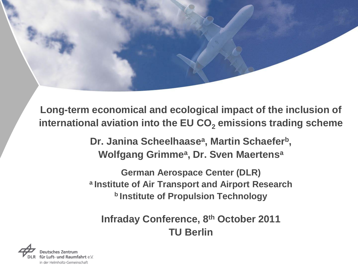**Long-term economical and ecological impact of the inclusion of international aviation into the EU CO<sup>2</sup> emissions trading scheme**

> **Dr. Janina Scheelhaase<sup>a</sup> , Martin Schaefer<sup>b</sup> , Wolfgang Grimme<sup>a</sup> , Dr. Sven Maertens<sup>a</sup>**

**German Aerospace Center (DLR) <sup>a</sup>Institute of Air Transport and Airport Research <sup>b</sup>Institute of Propulsion Technology**

**Infraday Conference, 8th October 2011 TU Berlin**

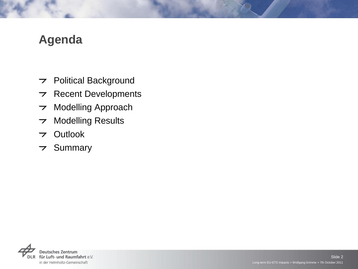## **Agenda**

- Political Background
- $\triangleright$  Recent Developments
- Modelling Approach  $\overline{\phantom{a}}$
- Modelling Results  $\overline{\phantom{a}}$
- Outlook
- $\overline{z}$  Summary

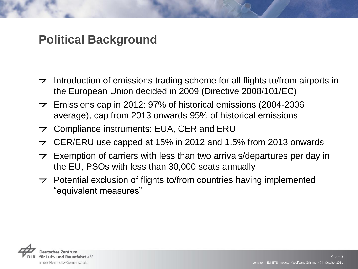## **Political Background**

- Introduction of emissions trading scheme for all flights to/from airports in  $\overline{\phantom{a}}$ the European Union decided in 2009 (Directive 2008/101/EC)
- $\rightarrow$  Emissions cap in 2012: 97% of historical emissions (2004-2006) average), cap from 2013 onwards 95% of historical emissions
- Compliance instruments: EUA, CER and ERU  $\overline{z}$
- CER/ERU use capped at 15% in 2012 and 1.5% from 2013 onwards  $\overline{z}$
- Exemption of carriers with less than two arrivals/departures per day in  $\overline{\phantom{a}}$ the EU, PSOs with less than 30,000 seats annually
- $\triangleright$  Potential exclusion of flights to/from countries having implemented "equivalent measures"

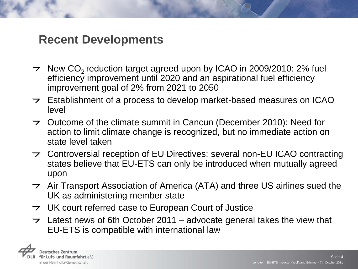#### **Recent Developments**

- $\rightarrow$  New CO<sub>2</sub> reduction target agreed upon by ICAO in 2009/2010: 2% fuel efficiency improvement until 2020 and an aspirational fuel efficiency improvement goal of 2% from 2021 to 2050
- $\triangleright$  Establishment of a process to develop market-based measures on ICAO level
- $\rightarrow$  Outcome of the climate summit in Cancun (December 2010): Need for action to limit climate change is recognized, but no immediate action on state level taken
- Controversial reception of EU Directives: several non-EU ICAO contracting states believe that EU-ETS can only be introduced when mutually agreed upon
- $\rightarrow$  Air Transport Association of America (ATA) and three US airlines sued the UK as administering member state
- $\rightarrow$  UK court referred case to European Court of Justice
- $\tau$  Latest news of 6th October 2011 advocate general takes the view that EU-ETS is compatible with international law

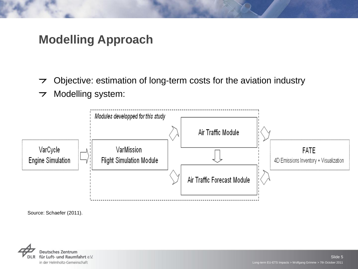## **Modelling Approach**

- Objective: estimation of long-term costs for the aviation industry  $\overline{\phantom{a}}$
- Modelling system:  $\overline{\phantom{a}}$



Source: Schaefer (2011).

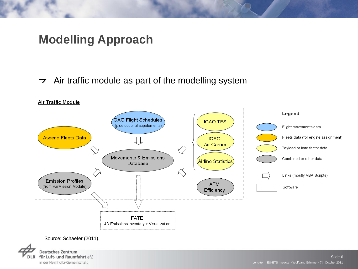## **Modelling Approach**

#### $\rightarrow$  Air traffic module as part of the modelling system



**Deutsches Zentrum** für Luft- und Raumfahrt e.V. in der Helmholtz-Gemeinschaft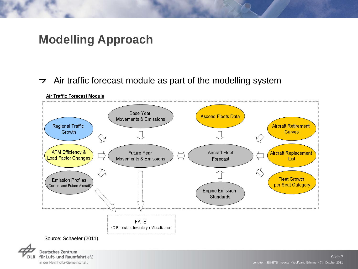## **Modelling Approach**

 $\rightarrow$  Air traffic forecast module as part of the modelling system



**Air Traffic Forecast Module** 

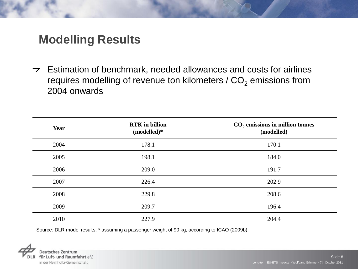$\triangleright$  Estimation of benchmark, needed allowances and costs for airlines requires modelling of revenue ton kilometers /  $CO<sub>2</sub>$  emissions from 2004 onwards

| Year | <b>RTK</b> in billion<br>(modelled)* | $CO2$ emissions in million tonnes<br>(modelled) |
|------|--------------------------------------|-------------------------------------------------|
| 2004 | 178.1                                | 170.1                                           |
| 2005 | 198.1                                | 184.0                                           |
| 2006 | 209.0                                | 191.7                                           |
| 2007 | 226.4                                | 202.9                                           |
| 2008 | 229.8                                | 208.6                                           |
| 2009 | 209.7                                | 196.4                                           |
| 2010 | 227.9                                | 204.4                                           |

Source: DLR model results. \* assuming a passenger weight of 90 kg, according to ICAO (2009b).

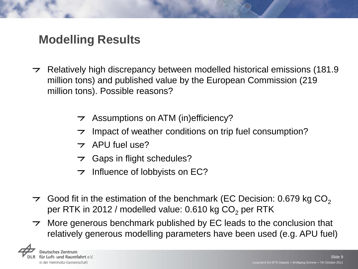- $\tau$  Relatively high discrepancy between modelled historical emissions (181.9) million tons) and published value by the European Commission (219 million tons). Possible reasons?
	- $\rightarrow$  Assumptions on ATM (in)efficiency?
	- Impact of weather conditions on trip fuel consumption?
	- $\tau$  APU fuel use?
	- $\triangleright$  Gaps in flight schedules?
	- $\rightarrow$  Influence of lobbyists on EC?
- $\tau$  Good fit in the estimation of the benchmark (EC Decision: 0.679 kg CO<sub>2</sub> per RTK in 2012 / modelled value:  $0.610$  kg  $CO<sub>2</sub>$  per RTK
- More generous benchmark published by EC leads to the conclusion that  $\overline{z}$ relatively generous modelling parameters have been used (e.g. APU fuel)

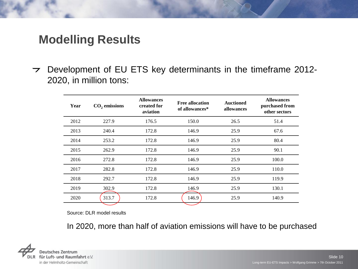$\triangleright$  Development of EU ETS key determinants in the timeframe 2012-2020, in million tons:

| Year | $CO2$ emissions | <b>Allowances</b><br>created for<br>aviation | <b>Free allocation</b><br>of allowances* | <b>Auctioned</b><br>allowances | <b>Allowances</b><br>purchased from<br>other sectors |
|------|-----------------|----------------------------------------------|------------------------------------------|--------------------------------|------------------------------------------------------|
| 2012 | 227.9           | 176.5                                        | 150.0                                    | 26.5                           | 51.4                                                 |
| 2013 | 240.4           | 172.8                                        | 146.9                                    | 25.9                           | 67.6                                                 |
| 2014 | 253.2           | 172.8                                        | 146.9                                    | 25.9                           | 80.4                                                 |
| 2015 | 262.9           | 172.8                                        | 146.9                                    | 25.9                           | 90.1                                                 |
| 2016 | 272.8           | 172.8                                        | 146.9                                    | 25.9                           | 100.0                                                |
| 2017 | 282.8           | 172.8                                        | 146.9                                    | 25.9                           | 110.0                                                |
| 2018 | 292.7           | 172.8                                        | 146.9                                    | 25.9                           | 119.9                                                |
| 2019 | 302.9           | 172.8                                        | 146.9                                    | 25.9                           | 130.1                                                |
| 2020 | 313.7           | 172.8                                        | 146.9                                    | 25.9                           | 140.9                                                |

Source: DLR model results

In 2020, more than half of aviation emissions will have to be purchased

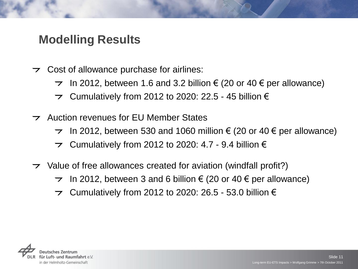- $\triangleright$  Cost of allowance purchase for airlines:
	- $\rightarrow$  In 2012, between 1.6 and 3.2 billion € (20 or 40 € per allowance)
	- $\triangleright$  Cumulatively from 2012 to 2020: 22.5 45 billion  $\epsilon$
- Auction revenues for EU Member States
	- $\rightarrow$  In 2012, between 530 and 1060 million € (20 or 40 € per allowance)
	- $\rightarrow$  Cumulatively from 2012 to 2020: 4.7 9.4 billion  $\epsilon$
- $\triangleright$  Value of free allowances created for aviation (windfall profit?)
	- $\rightarrow$  In 2012, between 3 and 6 billion € (20 or 40 € per allowance)
	- Cumulatively from 2012 to 2020: 26.5 53.0 billion  $\epsilon$  $\overline{z}$

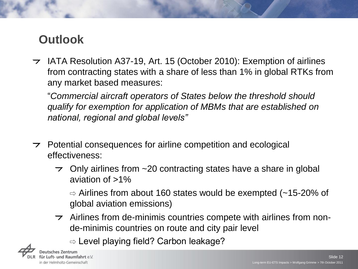# **Outlook**

 $\rightarrow$  IATA Resolution A37-19, Art. 15 (October 2010): Exemption of airlines from contracting states with a share of less than 1% in global RTKs from any market based measures:

"*Commercial aircraft operators of States below the threshold should qualify for exemption for application of MBMs that are established on national, regional and global levels"*

- $\rightarrow$  Potential consequences for airline competition and ecological effectiveness:
	- $\rightarrow$  Only airlines from  $\sim$  20 contracting states have a share in global aviation of  $>1\%$

 $\Rightarrow$  Airlines from about 160 states would be exempted (~15-20% of global aviation emissions)

 $\rightarrow$  Airlines from de-minimis countries compete with airlines from nonde-minimis countries on route and city pair level

 $\Rightarrow$  Level playing field? Carbon leakage?

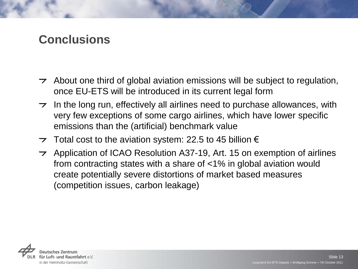## **Conclusions**

- $\rightarrow$  About one third of global aviation emissions will be subject to regulation, once EU-ETS will be introduced in its current legal form
- $\tau$  In the long run, effectively all airlines need to purchase allowances, with very few exceptions of some cargo airlines, which have lower specific emissions than the (artificial) benchmark value
- $\rightarrow$  Total cost to the aviation system: 22.5 to 45 billion  $\epsilon$
- $\rightarrow$  Application of ICAO Resolution A37-19, Art. 15 on exemption of airlines from contracting states with a share of <1% in global aviation would create potentially severe distortions of market based measures (competition issues, carbon leakage)

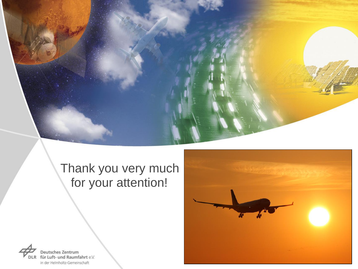

# Thank you very much for your attention!



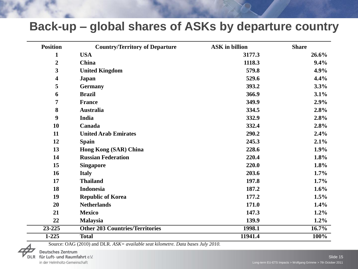#### **Back-up – global shares of ASKs by departure country**

| <b>Position</b>  | <b>Country/Territory of Departure</b>  | <b>ASK</b> in billion | <b>Share</b> |
|------------------|----------------------------------------|-----------------------|--------------|
| $\mathbf{1}$     | <b>USA</b>                             | 3177.3                | 26.6%        |
| $\boldsymbol{2}$ | China                                  | 1118.3                | 9.4%         |
| 3                | <b>United Kingdom</b>                  | 579.8                 | 4.9%         |
| 4                | Japan                                  | 529.6                 | 4.4%         |
| 5                | <b>Germany</b>                         | 393.2                 | 3.3%         |
| 6                | <b>Brazil</b>                          | 366.9                 | 3.1%         |
| 7                | <b>France</b>                          | 349.9                 | 2.9%         |
| 8                | <b>Australia</b>                       | 334.5                 | 2.8%         |
| $\boldsymbol{9}$ | India                                  | 332.9                 | 2.8%         |
| 10               | Canada                                 | 332.4                 | 2.8%         |
| 11               | <b>United Arab Emirates</b>            | 290.2                 | 2.4%         |
| 12               | <b>Spain</b>                           | 245.3                 | 2.1%         |
| 13               | <b>Hong Kong (SAR) China</b>           | 228.6                 | 1.9%         |
| 14               | <b>Russian Federation</b>              | 220.4                 | 1.8%         |
| 15               | <b>Singapore</b>                       | 220.0                 | 1.8%         |
| 16               | <b>Italy</b>                           | 203.6                 | 1.7%         |
| 17               | <b>Thailand</b>                        | 197.8                 | $1.7\%$      |
| 18               | <b>Indonesia</b>                       | 187.2                 | $1.6\%$      |
| 19               | <b>Republic of Korea</b>               | 177.2                 | 1.5%         |
| 20               | <b>Netherlands</b>                     | 171.0                 | 1.4%         |
| 21               | <b>Mexico</b>                          | 147.3                 | 1.2%         |
| 22               | <b>Malaysia</b>                        | 139.9                 | $1.2\%$      |
| $23 - 225$       | <b>Other 203 Countries/Territories</b> | 1998.1                | $16.7\%$     |
| $1 - 225$        | <b>Total</b>                           | 11941.4               | 100%         |

Source: OAG (2010) and DLR. *ASK= available seat kilometre. Data bases July 2010.*

**Deutsches Zentrum** für Luft- und Raumfahrt e.V. in der Helmholtz-Gemeinschaft